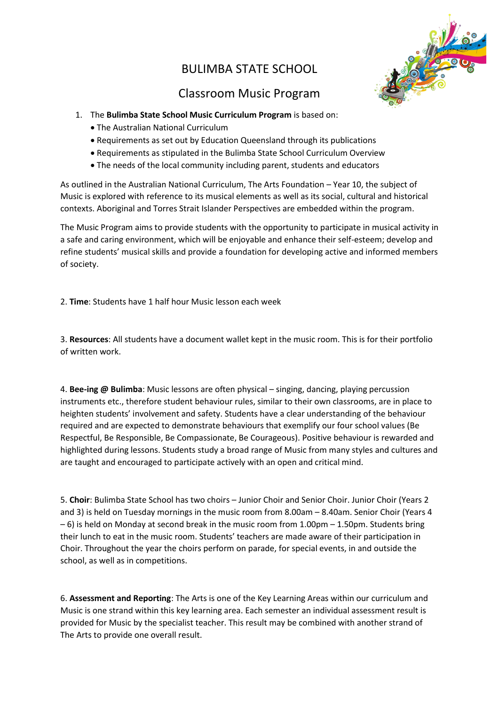## BULIMBA STATE SCHOOL



## Classroom Music Program

- 1. The **Bulimba State School Music Curriculum Program** is based on:
	- The Australian National Curriculum
	- Requirements as set out by Education Queensland through its publications
	- Requirements as stipulated in the Bulimba State School Curriculum Overview
	- The needs of the local community including parent, students and educators

As outlined in the Australian National Curriculum, The Arts Foundation – Year 10, the subject of Music is explored with reference to its musical elements as well as its social, cultural and historical contexts. Aboriginal and Torres Strait Islander Perspectives are embedded within the program.

The Music Program aims to provide students with the opportunity to participate in musical activity in a safe and caring environment, which will be enjoyable and enhance their self-esteem; develop and refine students' musical skills and provide a foundation for developing active and informed members of society.

2. **Time**: Students have 1 half hour Music lesson each week

3. **Resources**: All students have a document wallet kept in the music room. This is for their portfolio of written work.

4. **Bee-ing @ Bulimba**: Music lessons are often physical – singing, dancing, playing percussion instruments etc., therefore student behaviour rules, similar to their own classrooms, are in place to heighten students' involvement and safety. Students have a clear understanding of the behaviour required and are expected to demonstrate behaviours that exemplify our four school values (Be Respectful, Be Responsible, Be Compassionate, Be Courageous). Positive behaviour is rewarded and highlighted during lessons. Students study a broad range of Music from many styles and cultures and are taught and encouraged to participate actively with an open and critical mind.

5. **Choir**: Bulimba State School has two choirs – Junior Choir and Senior Choir. Junior Choir (Years 2 and 3) is held on Tuesday mornings in the music room from 8.00am – 8.40am. Senior Choir (Years 4 – 6) is held on Monday at second break in the music room from 1.00pm – 1.50pm. Students bring their lunch to eat in the music room. Students' teachers are made aware of their participation in Choir. Throughout the year the choirs perform on parade, for special events, in and outside the school, as well as in competitions.

6. **Assessment and Reporting**: The Arts is one of the Key Learning Areas within our curriculum and Music is one strand within this key learning area. Each semester an individual assessment result is provided for Music by the specialist teacher. This result may be combined with another strand of The Arts to provide one overall result.